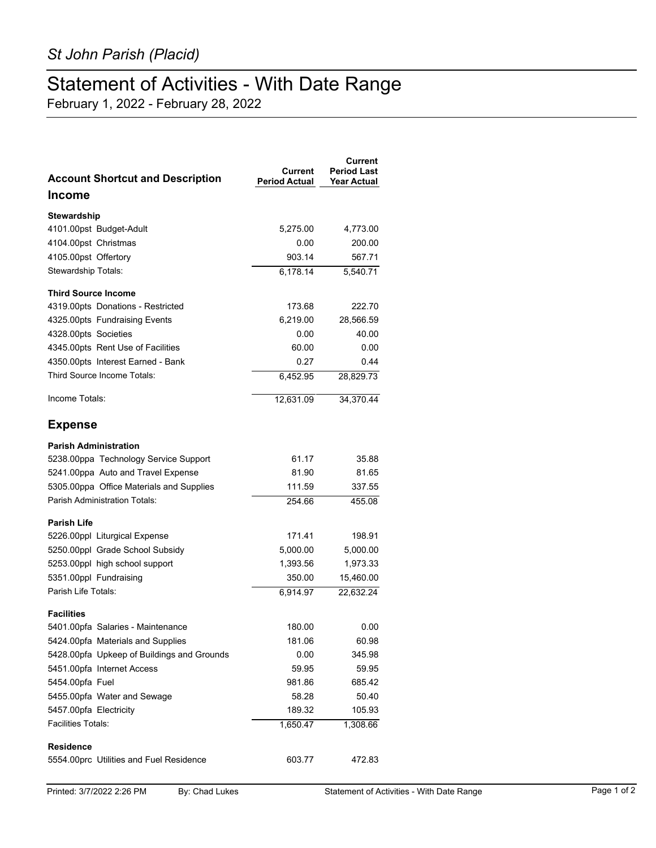## Statement of Activities - With Date Range

February 1, 2022 - February 28, 2022

| <b>Account Shortcut and Description</b>    | Current<br><b>Period Actual</b> | Current<br><b>Period Last</b><br><b>Year Actual</b> |
|--------------------------------------------|---------------------------------|-----------------------------------------------------|
| <b>Income</b>                              |                                 |                                                     |
| Stewardship                                |                                 |                                                     |
| 4101.00pst Budget-Adult                    | 5,275.00                        | 4,773.00                                            |
| 4104.00pst Christmas                       | 0.00                            | 200.00                                              |
| 4105.00pst Offertory                       | 903.14                          | 567.71                                              |
| Stewardship Totals:                        | 6,178.14                        | 5,540.71                                            |
| <b>Third Source Income</b>                 |                                 |                                                     |
| 4319.00pts Donations - Restricted          | 173.68                          | 222.70                                              |
| 4325.00pts Fundraising Events              | 6,219.00                        | 28,566.59                                           |
| 4328.00pts Societies                       | 0.00                            | 40.00                                               |
| 4345.00pts Rent Use of Facilities          | 60.00                           | 0.00                                                |
| 4350.00pts Interest Earned - Bank          | 0.27                            | 0.44                                                |
| Third Source Income Totals:                | 6.452.95                        | 28,829.73                                           |
| Income Totals:                             | 12,631.09                       | 34,370.44                                           |
| <b>Expense</b>                             |                                 |                                                     |
| <b>Parish Administration</b>               |                                 |                                                     |
| 5238.00ppa Technology Service Support      | 61.17                           | 35.88                                               |
| 5241.00ppa Auto and Travel Expense         | 81.90                           | 81.65                                               |
| 5305.00ppa Office Materials and Supplies   | 111.59                          | 337.55                                              |
| <b>Parish Administration Totals:</b>       | 254.66                          | 455.08                                              |
| <b>Parish Life</b>                         |                                 |                                                     |
| 5226.00ppl Liturgical Expense              | 171.41                          | 198.91                                              |
| 5250.00ppl Grade School Subsidy            | 5,000.00                        | 5,000.00                                            |
| 5253.00ppl high school support             | 1,393.56                        | 1,973.33                                            |
| 5351.00ppl Fundraising                     | 350.00                          | 15,460.00                                           |
| Parish Life Totals:                        | 6,914.97                        | 22,632.24                                           |
| <b>Facilities</b>                          |                                 |                                                     |
| 5401.00pfa Salaries - Maintenance          | 180.00                          | 0.00                                                |
| 5424.00pfa Materials and Supplies          | 181.06                          | 60.98                                               |
| 5428.00pfa Upkeep of Buildings and Grounds | 0.00                            | 345.98                                              |
| 5451.00pfa Internet Access                 | 59.95                           | 59.95                                               |
| 5454.00pfa Fuel                            | 981.86                          | 685.42                                              |
| 5455.00pfa Water and Sewage                | 58.28                           | 50.40                                               |
| 5457.00pfa Electricity                     | 189.32                          | 105.93                                              |
| <b>Facilities Totals:</b>                  | 1,650.47                        | 1,308.66                                            |
| <b>Residence</b>                           |                                 |                                                     |
| 5554 00prc Utilities and Fuel Residence    | 603.77                          | 472.83                                              |